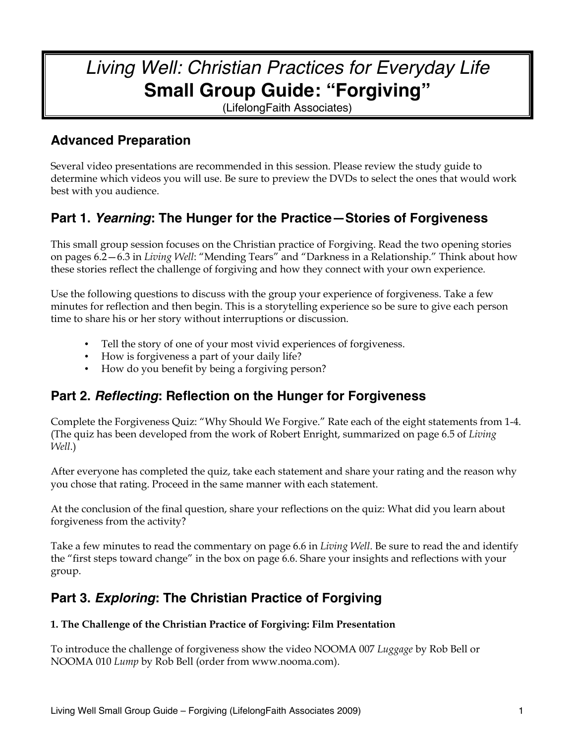## *Living Well: Christian Practices for Everyday Life* **Small Group Guide: "Forgiving"**

(LifelongFaith Associates)

### **Advanced Preparation**

Several video presentations are recommended in this session. Please review the study guide to determine which videos you will use. Be sure to preview the DVDs to select the ones that would work best with you audience.

## **Part 1.** *Yearning***: The Hunger for the Practice—Stories of Forgiveness**

This small group session focuses on the Christian practice of Forgiving. Read the two opening stories on pages 6.2—6.3 in *Living Well*: "Mending Tears" and "Darkness in a Relationship." Think about how these stories reflect the challenge of forgiving and how they connect with your own experience.

Use the following questions to discuss with the group your experience of forgiveness. Take a few minutes for reflection and then begin. This is a storytelling experience so be sure to give each person time to share his or her story without interruptions or discussion.

- Tell the story of one of your most vivid experiences of forgiveness.
- How is forgiveness a part of your daily life?
- How do you benefit by being a forgiving person?

## **Part 2.** *Reflecting***: Reflection on the Hunger for Forgiveness**

Complete the Forgiveness Quiz: "Why Should We Forgive." Rate each of the eight statements from 1-4. (The quiz has been developed from the work of Robert Enright, summarized on page 6.5 of *Living Well*.)

After everyone has completed the quiz, take each statement and share your rating and the reason why you chose that rating. Proceed in the same manner with each statement.

At the conclusion of the final question, share your reflections on the quiz: What did you learn about forgiveness from the activity?

Take a few minutes to read the commentary on page 6.6 in *Living Well*. Be sure to read the and identify the "first steps toward change" in the box on page 6.6. Share your insights and reflections with your group.

## **Part 3.** *Exploring***: The Christian Practice of Forgiving**

#### **1. The Challenge of the Christian Practice of Forgiving: Film Presentation**

To introduce the challenge of forgiveness show the video NOOMA 007 *Luggage* by Rob Bell or NOOMA 010 *Lump* by Rob Bell (order from www.nooma.com).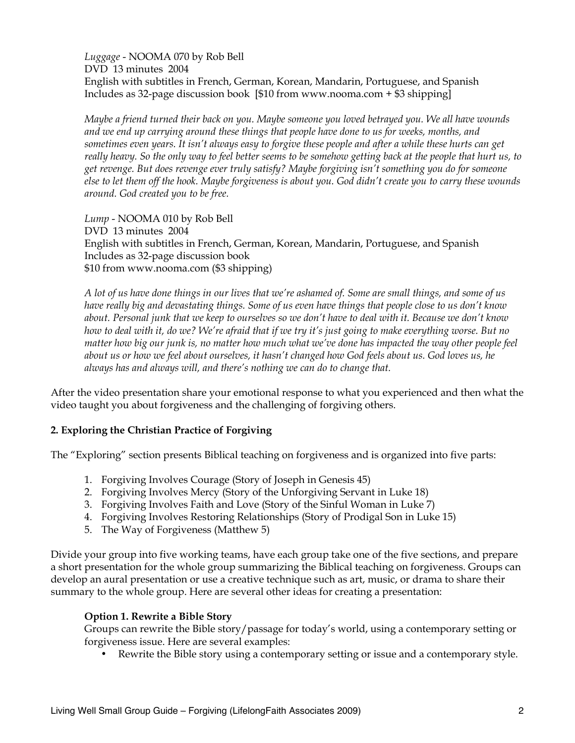*Luggage* - NOOMA 070 by Rob Bell DVD 13 minutes 2004 English with subtitles in French, German, Korean, Mandarin, Portuguese, and Spanish Includes as 32-page discussion book [\$10 from www.nooma.com + \$3 shipping]

*Maybe a friend turned their back on you. Maybe someone you loved betrayed you. We all have wounds and we end up carrying around these things that people have done to us for weeks, months, and sometimes even years. It isn't always easy to forgive these people and after a while these hurts can get really heavy. So the only way to feel better seems to be somehow getting back at the people that hurt us, to get revenge. But does revenge ever truly satisfy? Maybe forgiving isn't something you do for someone else to let them off the hook. Maybe forgiveness is about you. God didn't create you to carry these wounds around. God created you to be free.*

*Lump* - NOOMA 010 by Rob Bell DVD 13 minutes 2004 English with subtitles in French, German, Korean, Mandarin, Portuguese, and Spanish Includes as 32-page discussion book \$10 from www.nooma.com (\$3 shipping)

*A lot of us have done things in our lives that we're ashamed of. Some are small things, and some of us have really big and devastating things. Some of us even have things that people close to us don't know about. Personal junk that we keep to ourselves so we don't have to deal with it. Because we don't know how to deal with it, do we? We're afraid that if we try it's just going to make everything worse. But no matter how big our junk is, no matter how much what we've done has impacted the way other people feel about us or how we feel about ourselves, it hasn't changed how God feels about us. God loves us, he always has and always will, and there's nothing we can do to change that.*

After the video presentation share your emotional response to what you experienced and then what the video taught you about forgiveness and the challenging of forgiving others.

#### **2. Exploring the Christian Practice of Forgiving**

The "Exploring" section presents Biblical teaching on forgiveness and is organized into five parts:

- 1. Forgiving Involves Courage (Story of Joseph in Genesis 45)
- 2. Forgiving Involves Mercy (Story of the Unforgiving Servant in Luke 18)
- 3. Forgiving Involves Faith and Love (Story of the Sinful Woman in Luke 7)
- 4. Forgiving Involves Restoring Relationships (Story of Prodigal Son in Luke 15)
- 5. The Way of Forgiveness (Matthew 5)

Divide your group into five working teams, have each group take one of the five sections, and prepare a short presentation for the whole group summarizing the Biblical teaching on forgiveness. Groups can develop an aural presentation or use a creative technique such as art, music, or drama to share their summary to the whole group. Here are several other ideas for creating a presentation:

#### **Option 1. Rewrite a Bible Story**

Groups can rewrite the Bible story/passage for today's world, using a contemporary setting or forgiveness issue. Here are several examples:

• Rewrite the Bible story using a contemporary setting or issue and a contemporary style.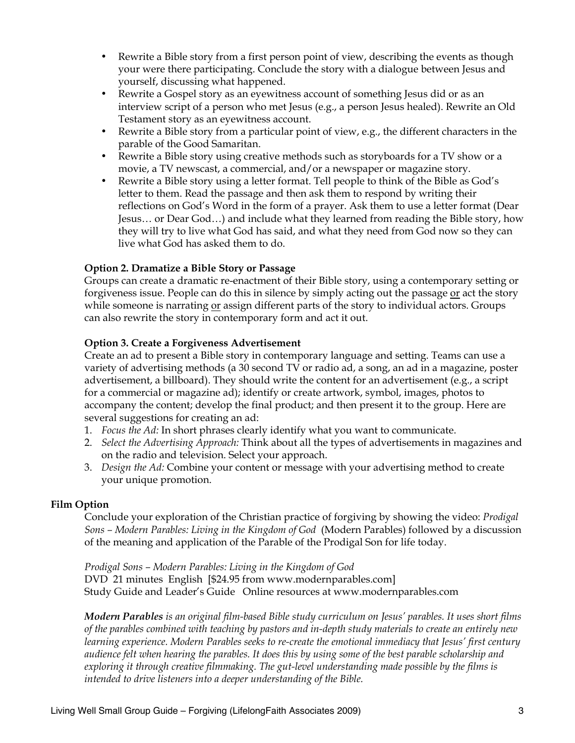- Rewrite a Bible story from a first person point of view, describing the events as though your were there participating. Conclude the story with a dialogue between Jesus and yourself, discussing what happened.
- Rewrite a Gospel story as an eyewitness account of something Jesus did or as an interview script of a person who met Jesus (e.g., a person Jesus healed). Rewrite an Old Testament story as an eyewitness account.
- Rewrite a Bible story from a particular point of view, e.g., the different characters in the parable of the Good Samaritan.
- Rewrite a Bible story using creative methods such as storyboards for a TV show or a movie, a TV newscast, a commercial, and/or a newspaper or magazine story.
- Rewrite a Bible story using a letter format. Tell people to think of the Bible as God's letter to them. Read the passage and then ask them to respond by writing their reflections on God's Word in the form of a prayer. Ask them to use a letter format (Dear Jesus… or Dear God…) and include what they learned from reading the Bible story, how they will try to live what God has said, and what they need from God now so they can live what God has asked them to do.

#### **Option 2. Dramatize a Bible Story or Passage**

Groups can create a dramatic re-enactment of their Bible story, using a contemporary setting or forgiveness issue. People can do this in silence by simply acting out the passage or act the story while someone is narrating or assign different parts of the story to individual actors. Groups can also rewrite the story in contemporary form and act it out.

#### **Option 3. Create a Forgiveness Advertisement**

Create an ad to present a Bible story in contemporary language and setting. Teams can use a variety of advertising methods (a 30 second TV or radio ad, a song, an ad in a magazine, poster advertisement, a billboard). They should write the content for an advertisement (e.g., a script for a commercial or magazine ad); identify or create artwork, symbol, images, photos to accompany the content; develop the final product; and then present it to the group. Here are several suggestions for creating an ad:

- 1. *Focus the Ad:* In short phrases clearly identify what you want to communicate.
- 2. *Select the Advertising Approach:* Think about all the types of advertisements in magazines and on the radio and television. Select your approach.
- 3. *Design the Ad:* Combine your content or message with your advertising method to create your unique promotion.

#### **Film Option**

Conclude your exploration of the Christian practice of forgiving by showing the video: *Prodigal Sons – Modern Parables: Living in the Kingdom of God* (Modern Parables) followed by a discussion of the meaning and application of the Parable of the Prodigal Son for life today.

*Prodigal Sons – Modern Parables: Living in the Kingdom of God*  DVD 21 minutes English [\$24.95 from www.modernparables.com] Study Guide and Leader's Guide Online resources at www.modernparables.com

*Modern Parables is an original film-based Bible study curriculum on Jesus' parables. It uses short films of the parables combined with teaching by pastors and in-depth study materials to create an entirely new learning experience. Modern Parables seeks to re-create the emotional immediacy that Jesus' first century audience felt when hearing the parables. It does this by using some of the best parable scholarship and exploring it through creative filmmaking. The gut-level understanding made possible by the films is intended to drive listeners into a deeper understanding of the Bible.*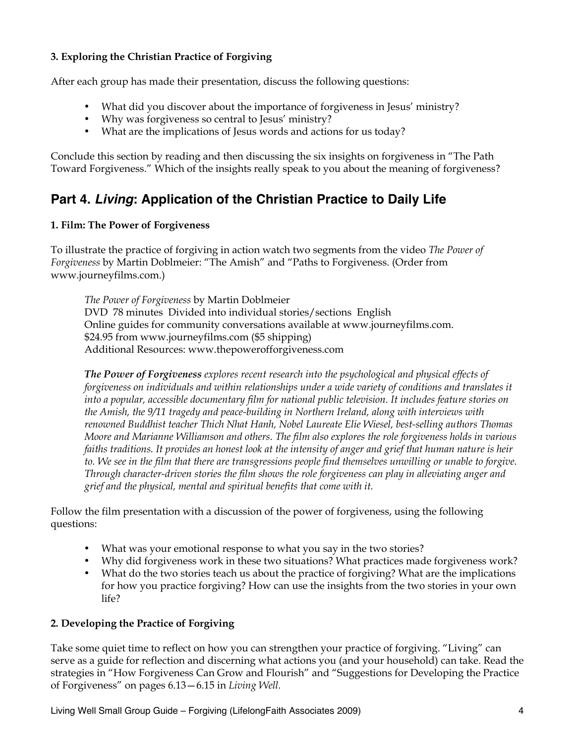#### **3. Exploring the Christian Practice of Forgiving**

After each group has made their presentation, discuss the following questions:

- What did you discover about the importance of forgiveness in Jesus' ministry?
- Why was forgiveness so central to Jesus' ministry?
- What are the implications of Jesus words and actions for us today?

Conclude this section by reading and then discussing the six insights on forgiveness in "The Path Toward Forgiveness." Which of the insights really speak to you about the meaning of forgiveness?

### **Part 4.** *Living***: Application of the Christian Practice to Daily Life**

#### **1. Film: The Power of Forgiveness**

To illustrate the practice of forgiving in action watch two segments from the video *The Power of Forgiveness* by Martin Doblmeier: "The Amish" and "Paths to Forgiveness. (Order from www.journeyfilms.com.)

*The Power of Forgiveness* by Martin Doblmeier DVD 78 minutes Divided into individual stories/sections English Online guides for community conversations available at www.journeyfilms.com. \$24.95 from www.journeyfilms.com (\$5 shipping) Additional Resources: www.thepowerofforgiveness.com

*The Power of Forgiveness explores recent research into the psychological and physical effects of forgiveness on individuals and within relationships under a wide variety of conditions and translates it into a popular, accessible documentary film for national public television. It includes feature stories on the Amish, the 9/11 tragedy and peace-building in Northern Ireland, along with interviews with renowned Buddhist teacher Thich Nhat Hanh, Nobel Laureate Elie Wiesel, best-selling authors Thomas Moore and Marianne Williamson and others. The film also explores the role forgiveness holds in various faiths traditions. It provides an honest look at the intensity of anger and grief that human nature is heir to. We see in the film that there are transgressions people find themselves unwilling or unable to forgive. Through character-driven stories the film shows the role forgiveness can play in alleviating anger and grief and the physical, mental and spiritual benefits that come with it.*

Follow the film presentation with a discussion of the power of forgiveness, using the following questions:

- What was your emotional response to what you say in the two stories?
- Why did forgiveness work in these two situations? What practices made forgiveness work?
- What do the two stories teach us about the practice of forgiving? What are the implications for how you practice forgiving? How can use the insights from the two stories in your own life?

#### **2. Developing the Practice of Forgiving**

Take some quiet time to reflect on how you can strengthen your practice of forgiving. "Living" can serve as a guide for reflection and discerning what actions you (and your household) can take. Read the strategies in "How Forgiveness Can Grow and Flourish" and "Suggestions for Developing the Practice of Forgiveness" on pages 6.13—6.15 in *Living Well.*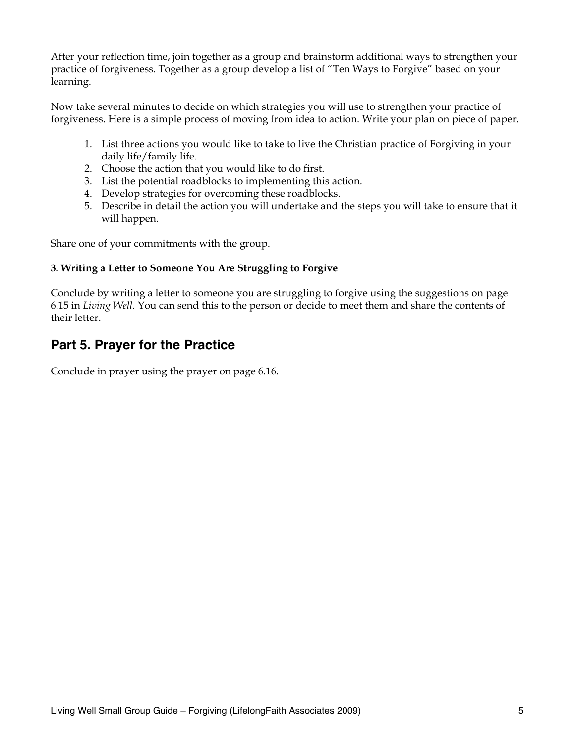After your reflection time, join together as a group and brainstorm additional ways to strengthen your practice of forgiveness. Together as a group develop a list of "Ten Ways to Forgive" based on your learning.

Now take several minutes to decide on which strategies you will use to strengthen your practice of forgiveness. Here is a simple process of moving from idea to action. Write your plan on piece of paper.

- 1. List three actions you would like to take to live the Christian practice of Forgiving in your daily life/family life.
- 2. Choose the action that you would like to do first.
- 3. List the potential roadblocks to implementing this action.
- 4. Develop strategies for overcoming these roadblocks.
- 5. Describe in detail the action you will undertake and the steps you will take to ensure that it will happen.

Share one of your commitments with the group.

#### **3. Writing a Letter to Someone You Are Struggling to Forgive**

Conclude by writing a letter to someone you are struggling to forgive using the suggestions on page 6.15 in *Living Well*. You can send this to the person or decide to meet them and share the contents of their letter.

### **Part 5. Prayer for the Practice**

Conclude in prayer using the prayer on page 6.16.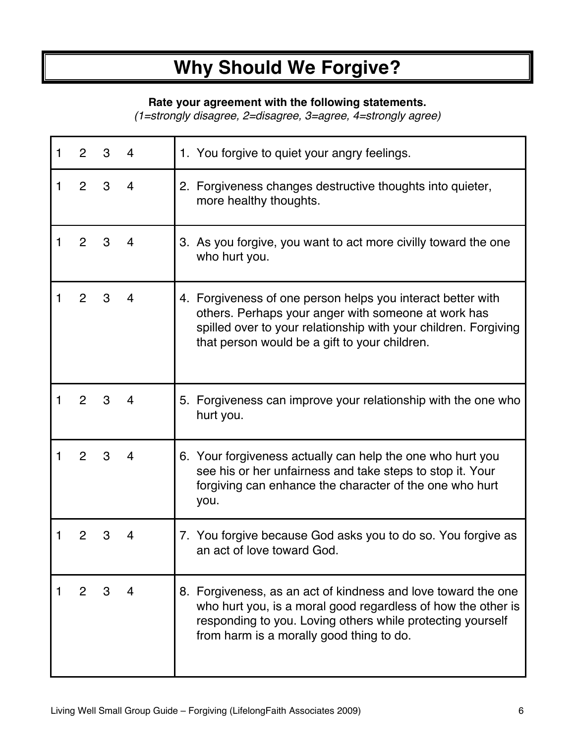# **Why Should We Forgive?**

#### **Rate your agreement with the following statements.**

*(1=strongly disagree, 2=disagree, 3=agree, 4=strongly agree)*

| 1 | 2              |   |   | 1. You forgive to quiet your angry feelings.                                                                                                                                                                                            |
|---|----------------|---|---|-----------------------------------------------------------------------------------------------------------------------------------------------------------------------------------------------------------------------------------------|
|   | 2              | 3 | 4 | 2. Forgiveness changes destructive thoughts into quieter,<br>more healthy thoughts.                                                                                                                                                     |
|   | 2              | 3 | 4 | 3. As you forgive, you want to act more civilly toward the one<br>who hurt you.                                                                                                                                                         |
|   | 2              | З | 4 | 4. Forgiveness of one person helps you interact better with<br>others. Perhaps your anger with someone at work has<br>spilled over to your relationship with your children. Forgiving<br>that person would be a gift to your children.  |
|   | 2              | 3 | 4 | 5. Forgiveness can improve your relationship with the one who<br>hurt you.                                                                                                                                                              |
|   | 2              | 3 | 4 | 6. Your forgiveness actually can help the one who hurt you<br>see his or her unfairness and take steps to stop it. Your<br>forgiving can enhance the character of the one who hurt<br>you.                                              |
|   | 2              |   | 4 | 7. You forgive because God asks you to do so. You forgive as<br>an act of love toward God.                                                                                                                                              |
|   | $\overline{2}$ | 3 | 4 | 8. Forgiveness, as an act of kindness and love toward the one<br>who hurt you, is a moral good regardless of how the other is<br>responding to you. Loving others while protecting yourself<br>from harm is a morally good thing to do. |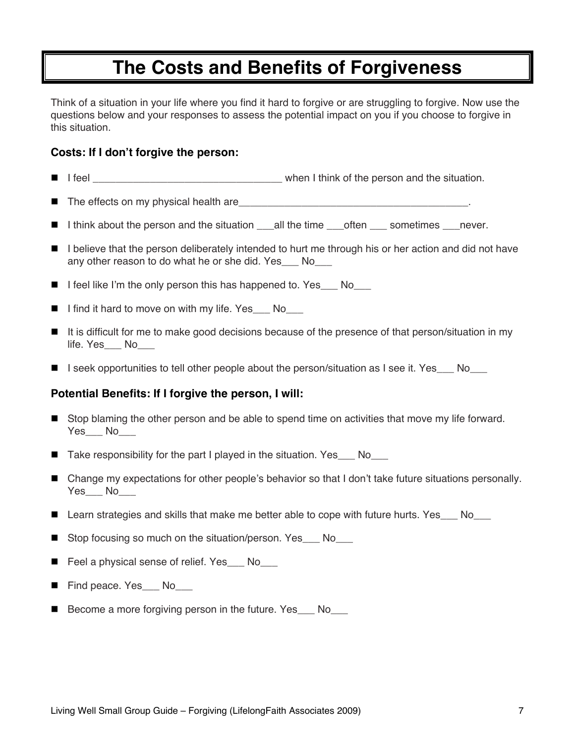## **The Costs and Benefits of Forgiveness**

Think of a situation in your life where you find it hard to forgive or are struggling to forgive. Now use the questions below and your responses to assess the potential impact on you if you choose to forgive in this situation.

#### **Costs: If I don't forgive the person:**

- I feel **I** feel **Example 2** is the situation. Think of the person and the situation.
- The effects on my physical health are\_\_\_\_\_\_\_\_\_\_\_\_\_\_\_\_\_\_\_\_\_\_\_\_\_\_\_\_\_\_\_\_\_\_\_\_\_\_\_\_.
- I think about the person and the situation \_\_\_all the time \_\_\_often \_\_\_ sometimes \_\_\_never.
- I believe that the person deliberately intended to hurt me through his or her action and did not have any other reason to do what he or she did. Yes No
- I feel like I'm the only person this has happened to. Yes No
- I find it hard to move on with my life. Yes\_\_\_ No\_\_\_
- It is difficult for me to make good decisions because of the presence of that person/situation in my life. Yes\_\_\_ No
- I seek opportunities to tell other people about the person/situation as I see it. Yes  $\blacksquare$  No

#### **Potential Benefits: If I forgive the person, I will:**

- Stop blaming the other person and be able to spend time on activities that move my life forward. Yes\_\_\_ No
- Take responsibility for the part I played in the situation. Yes\_\_\_ No\_\_\_
- Change my expectations for other people's behavior so that I don't take future situations personally. Yes\_\_\_ No
- Learn strategies and skills that make me better able to cope with future hurts. Yes No
- Stop focusing so much on the situation/person. Yes No
- Feel a physical sense of relief. Yes No
- Find peace. Yes No
- Become a more forgiving person in the future. Yes No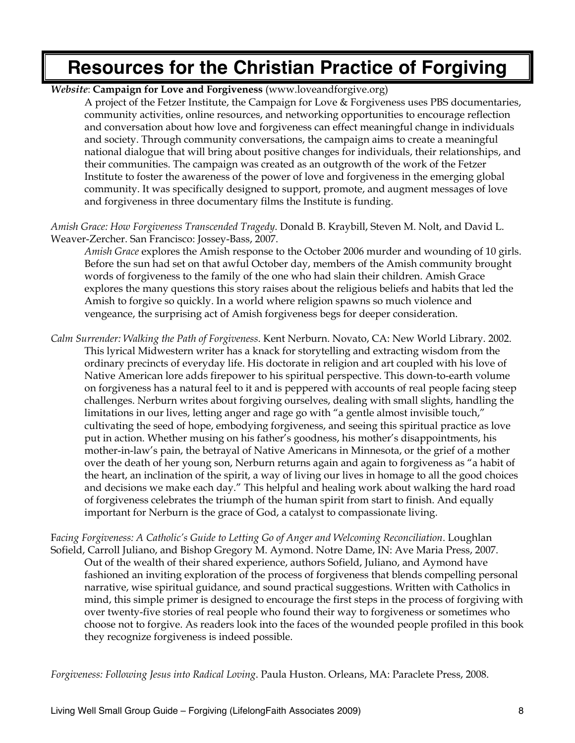## **Resources for the Christian Practice of Forgiving**

*Website*: **Campaign for Love and Forgiveness** (www.loveandforgive.org)

A project of the Fetzer Institute, the Campaign for Love & Forgiveness uses PBS documentaries, community activities, online resources, and networking opportunities to encourage reflection and conversation about how love and forgiveness can effect meaningful change in individuals and society. Through community conversations, the campaign aims to create a meaningful national dialogue that will bring about positive changes for individuals, their relationships, and their communities. The campaign was created as an outgrowth of the work of the Fetzer Institute to foster the awareness of the power of love and forgiveness in the emerging global community. It was specifically designed to support, promote, and augment messages of love and forgiveness in three documentary films the Institute is funding.

*Amish Grace: How Forgiveness Transcended Tragedy*. Donald B. Kraybill, Steven M. Nolt, and David L. Weaver-Zercher. San Francisco: Jossey-Bass, 2007.

*Amish Grace* explores the Amish response to the October 2006 murder and wounding of 10 girls. Before the sun had set on that awful October day, members of the Amish community brought words of forgiveness to the family of the one who had slain their children. Amish Grace explores the many questions this story raises about the religious beliefs and habits that led the Amish to forgive so quickly. In a world where religion spawns so much violence and vengeance, the surprising act of Amish forgiveness begs for deeper consideration.

*Calm Surrender: Walking the Path of Forgiveness*. Kent Nerburn. Novato, CA: New World Library. 2002. This lyrical Midwestern writer has a knack for storytelling and extracting wisdom from the ordinary precincts of everyday life. His doctorate in religion and art coupled with his love of Native American lore adds firepower to his spiritual perspective. This down-to-earth volume on forgiveness has a natural feel to it and is peppered with accounts of real people facing steep challenges. Nerburn writes about forgiving ourselves, dealing with small slights, handling the limitations in our lives, letting anger and rage go with "a gentle almost invisible touch," cultivating the seed of hope, embodying forgiveness, and seeing this spiritual practice as love put in action. Whether musing on his father's goodness, his mother's disappointments, his mother-in-law's pain, the betrayal of Native Americans in Minnesota, or the grief of a mother over the death of her young son, Nerburn returns again and again to forgiveness as "a habit of the heart, an inclination of the spirit, a way of living our lives in homage to all the good choices and decisions we make each day." This helpful and healing work about walking the hard road of forgiveness celebrates the triumph of the human spirit from start to finish. And equally important for Nerburn is the grace of God, a catalyst to compassionate living.

F*acing Forgiveness: A Catholic's Guide to Letting Go of Anger and Welcoming Reconciliation*. Loughlan Sofield, Carroll Juliano, and Bishop Gregory M. Aymond. Notre Dame, IN: Ave Maria Press, 2007. Out of the wealth of their shared experience, authors Sofield, Juliano, and Aymond have fashioned an inviting exploration of the process of forgiveness that blends compelling personal narrative, wise spiritual guidance, and sound practical suggestions. Written with Catholics in mind, this simple primer is designed to encourage the first steps in the process of forgiving with over twenty-five stories of real people who found their way to forgiveness or sometimes who choose not to forgive. As readers look into the faces of the wounded people profiled in this book they recognize forgiveness is indeed possible.

*Forgiveness: Following Jesus into Radical Loving*. Paula Huston. Orleans, MA: Paraclete Press, 2008.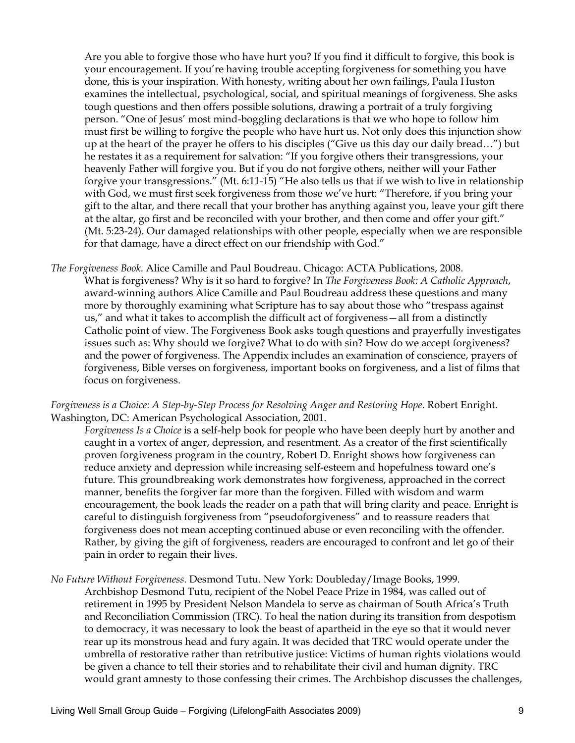Are you able to forgive those who have hurt you? If you find it difficult to forgive, this book is your encouragement. If you're having trouble accepting forgiveness for something you have done, this is your inspiration. With honesty, writing about her own failings, Paula Huston examines the intellectual, psychological, social, and spiritual meanings of forgiveness. She asks tough questions and then offers possible solutions, drawing a portrait of a truly forgiving person. "One of Jesus' most mind-boggling declarations is that we who hope to follow him must first be willing to forgive the people who have hurt us. Not only does this injunction show up at the heart of the prayer he offers to his disciples ("Give us this day our daily bread…") but he restates it as a requirement for salvation: "If you forgive others their transgressions, your heavenly Father will forgive you. But if you do not forgive others, neither will your Father forgive your transgressions." (Mt. 6:11-15) "He also tells us that if we wish to live in relationship with God, we must first seek forgiveness from those we've hurt: "Therefore, if you bring your gift to the altar, and there recall that your brother has anything against you, leave your gift there at the altar, go first and be reconciled with your brother, and then come and offer your gift." (Mt. 5:23-24). Our damaged relationships with other people, especially when we are responsible for that damage, have a direct effect on our friendship with God."

*The Forgiveness Book*. Alice Camille and Paul Boudreau. Chicago: ACTA Publications, 2008. What is forgiveness? Why is it so hard to forgive? In *The Forgiveness Book: A Catholic Approach*, award-winning authors Alice Camille and Paul Boudreau address these questions and many more by thoroughly examining what Scripture has to say about those who "trespass against us," and what it takes to accomplish the difficult act of forgiveness—all from a distinctly Catholic point of view. The Forgiveness Book asks tough questions and prayerfully investigates issues such as: Why should we forgive? What to do with sin? How do we accept forgiveness? and the power of forgiveness. The Appendix includes an examination of conscience, prayers of forgiveness, Bible verses on forgiveness, important books on forgiveness, and a list of films that focus on forgiveness.

#### *Forgiveness is a Choice: A Step-by-Step Process for Resolving Anger and Restoring Hope*. Robert Enright. Washington, DC: American Psychological Association, 2001.

*Forgiveness Is a Choice* is a self-help book for people who have been deeply hurt by another and caught in a vortex of anger, depression, and resentment. As a creator of the first scientifically proven forgiveness program in the country, Robert D. Enright shows how forgiveness can reduce anxiety and depression while increasing self-esteem and hopefulness toward one's future. This groundbreaking work demonstrates how forgiveness, approached in the correct manner, benefits the forgiver far more than the forgiven. Filled with wisdom and warm encouragement, the book leads the reader on a path that will bring clarity and peace. Enright is careful to distinguish forgiveness from "pseudoforgiveness" and to reassure readers that forgiveness does not mean accepting continued abuse or even reconciling with the offender. Rather, by giving the gift of forgiveness, readers are encouraged to confront and let go of their pain in order to regain their lives.

*No Future Without Forgiveness*. Desmond Tutu. New York: Doubleday/Image Books, 1999. Archbishop Desmond Tutu, recipient of the Nobel Peace Prize in 1984, was called out of retirement in 1995 by President Nelson Mandela to serve as chairman of South Africa's Truth and Reconciliation Commission (TRC). To heal the nation during its transition from despotism to democracy, it was necessary to look the beast of apartheid in the eye so that it would never rear up its monstrous head and fury again. It was decided that TRC would operate under the umbrella of restorative rather than retributive justice: Victims of human rights violations would be given a chance to tell their stories and to rehabilitate their civil and human dignity. TRC would grant amnesty to those confessing their crimes. The Archbishop discusses the challenges,